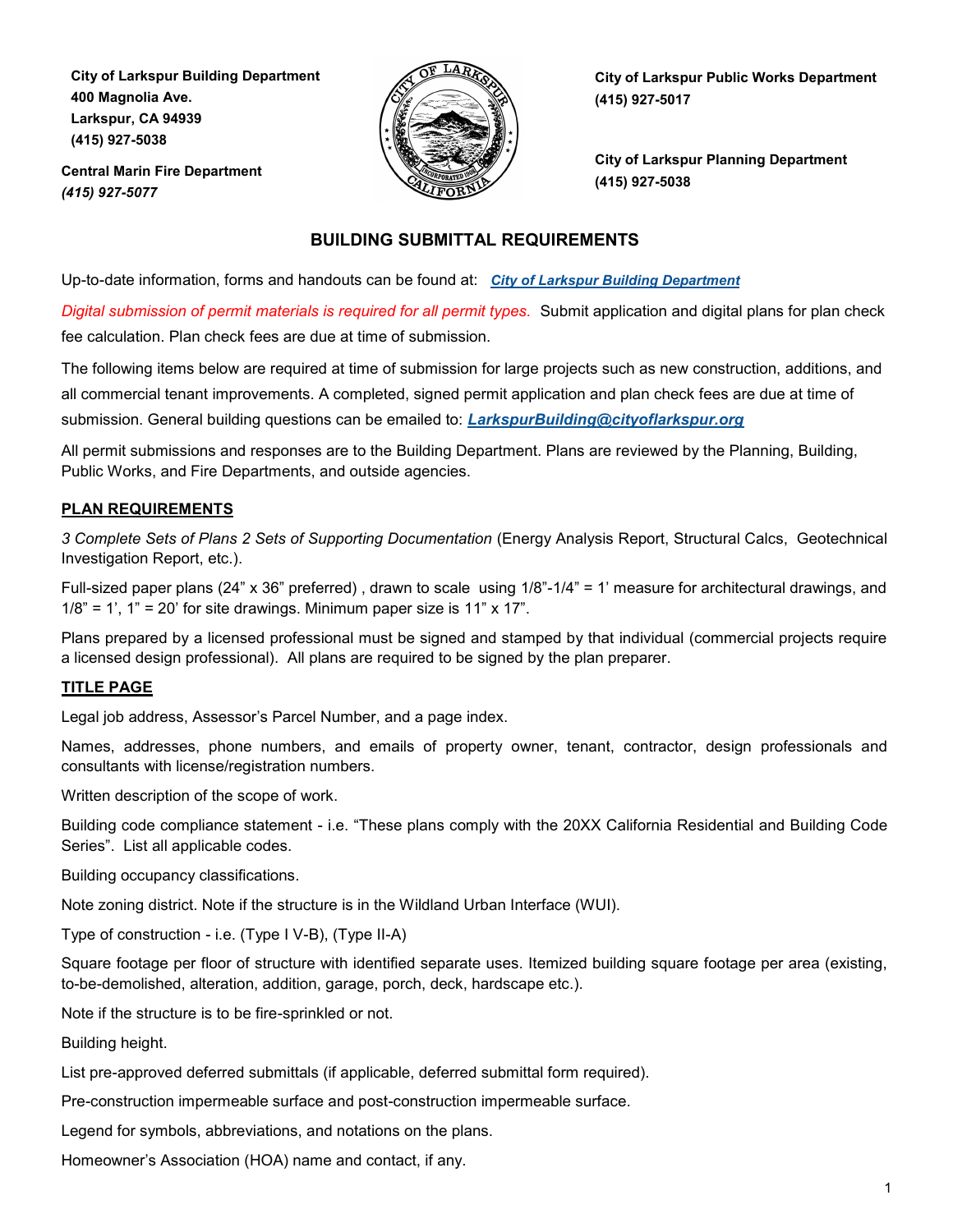**City of Larkspur Building Department 400 Magnolia Ave. Larkspur, CA 94939 (415) 927-5038**



**Central Marin Fire Department** *(415) 927-5077* 

**City of Larkspur Public Works Department (415) 927-5017**

**City of Larkspur Planning Department (415) 927-5038**

# **BUILDING SUBMITTAL REQUIREMENTS**

Up-to-date information, forms and handouts can be found at: *[City of Larkspur Building Department](https://www.ci.larkspur.ca.us/91/Building)*

*Digital submission of permit materials is required for all permit types.* Submit application and digital plans for plan check fee calculation. Plan check fees are due at time of submission.

The following items below are required at time of submission for large projects such as new construction, additions, and all commercial tenant improvements. A completed, signed permit application and plan check fees are due at time of submission. General building questions can be emailed to: *[LarkspurBuilding@cityoflarkspur.org](mailto:LarkspurBuilding@cityoflarkspur.org)*

All permit submissions and responses are to the Building Department. Plans are reviewed by the Planning, Building, Public Works, and Fire Departments, and outside agencies.

# **PLAN REQUIREMENTS**

*3 Complete Sets of Plans 2 Sets of Supporting Documentation* (Energy Analysis Report, Structural Calcs, Geotechnical Investigation Report, etc.).

Full-sized paper plans (24" x 36" preferred) , drawn to scale using 1/8"-1/4" = 1' measure for architectural drawings, and  $1/8$ " = 1', 1" = 20' for site drawings. Minimum paper size is 11" x 17".

Plans prepared by a licensed professional must be signed and stamped by that individual (commercial projects require a licensed design professional). All plans are required to be signed by the plan preparer.

# **TITLE PAGE**

Legal job address, Assessor's Parcel Number, and a page index.

Names, addresses, phone numbers, and emails of property owner, tenant, contractor, design professionals and consultants with license/registration numbers.

Written description of the scope of work.

Building code compliance statement - i.e. "These plans comply with the 20XX California Residential and Building Code Series". List all applicable codes.

Building occupancy classifications.

Note zoning district. Note if the structure is in the Wildland Urban Interface (WUI).

Type of construction - i.e. (Type I V-B), (Type II-A)

Square footage per floor of structure with identified separate uses. Itemized building square footage per area (existing, to-be-demolished, alteration, addition, garage, porch, deck, hardscape etc.).

Note if the structure is to be fire-sprinkled or not.

Building height.

List pre-approved deferred submittals (if applicable, deferred submittal form required).

Pre-construction impermeable surface and post-construction impermeable surface.

Legend for symbols, abbreviations, and notations on the plans.

Homeowner's Association (HOA) name and contact, if any.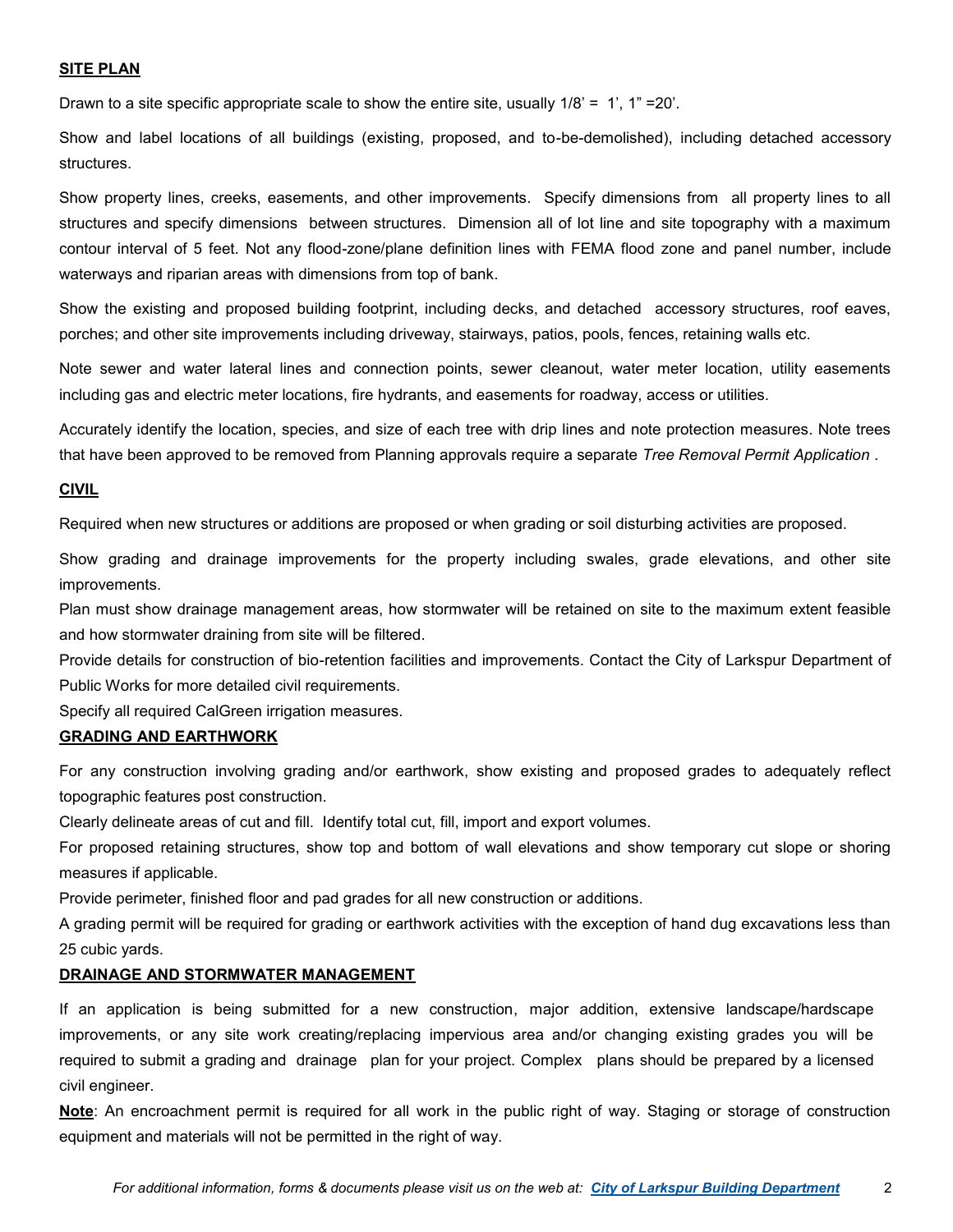# **SITE PLAN**

Drawn to a site specific appropriate scale to show the entire site, usually  $1/8$ ' = 1',  $1$ " = 20'.

Show and label locations of all buildings (existing, proposed, and to-be-demolished), including detached accessory structures.

Show property lines, creeks, easements, and other improvements. Specify dimensions from all property lines to all structures and specify dimensions between structures. Dimension all of lot line and site topography with a maximum contour interval of 5 feet. Not any flood-zone/plane definition lines with FEMA flood zone and panel number, include waterways and riparian areas with dimensions from top of bank.

Show the existing and proposed building footprint, including decks, and detached accessory structures, roof eaves, porches; and other site improvements including driveway, stairways, patios, pools, fences, retaining walls etc.

Note sewer and water lateral lines and connection points, sewer cleanout, water meter location, utility easements including gas and electric meter locations, fire hydrants, and easements for roadway, access or utilities.

Accurately identify the location, species, and size of each tree with drip lines and note protection measures. Note trees that have been approved to be removed from Planning approvals require a separate *Tree Removal Permit Application* .

#### **CIVIL**

Required when new structures or additions are proposed or when grading or soil disturbing activities are proposed.

Show grading and drainage improvements for the property including swales, grade elevations, and other site improvements.

Plan must show drainage management areas, how stormwater will be retained on site to the maximum extent feasible and how stormwater draining from site will be filtered.

Provide details for construction of bio-retention facilities and improvements. Contact the City of Larkspur Department of Public Works for more detailed civil requirements.

Specify all required CalGreen irrigation measures.

# **GRADING AND EARTHWORK**

For any construction involving grading and/or earthwork, show existing and proposed grades to adequately reflect topographic features post construction.

Clearly delineate areas of cut and fill. Identify total cut, fill, import and export volumes.

For proposed retaining structures, show top and bottom of wall elevations and show temporary cut slope or shoring measures if applicable.

Provide perimeter, finished floor and pad grades for all new construction or additions.

A grading permit will be required for grading or earthwork activities with the exception of hand dug excavations less than 25 cubic yards.

#### **DRAINAGE AND STORMWATER MANAGEMENT**

If an application is being submitted for a new construction, major addition, extensive landscape/hardscape improvements, or any site work creating/replacing impervious area and/or changing existing grades you will be required to submit a grading and drainage plan for your project. Complex plans should be prepared by a licensed civil engineer.

**Note**: An encroachment permit is required for all work in the public right of way. Staging or storage of construction equipment and materials will not be permitted in the right of way.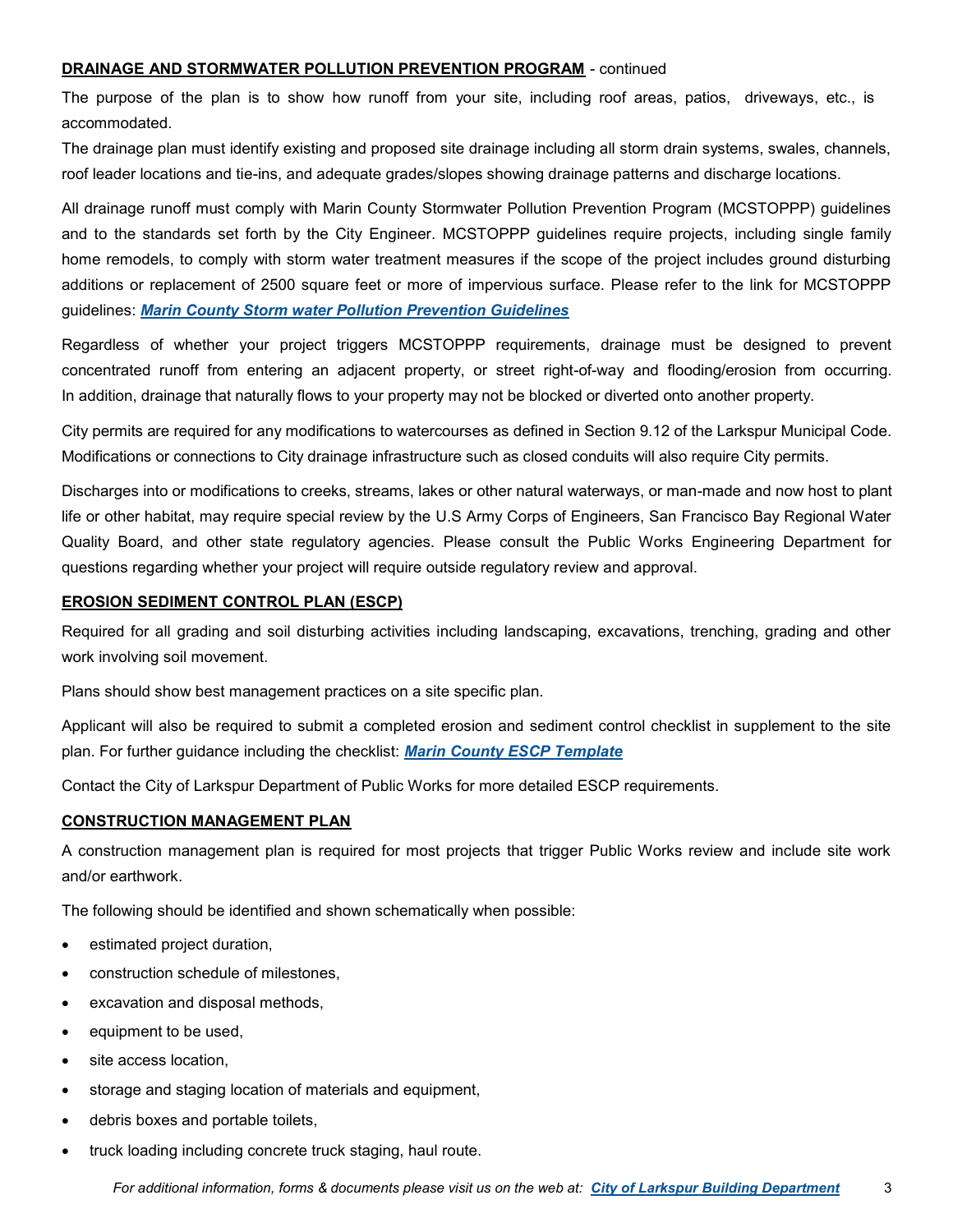# **DRAINAGE AND STORMWATER POLLUTION PREVENTION PROGRAM** - continued

The purpose of the plan is to show how runoff from your site, including roof areas, patios, driveways, etc., is accommodated.

The drainage plan must identify existing and proposed site drainage including all storm drain systems, swales, channels, roof leader locations and tie-ins, and adequate grades/slopes showing drainage patterns and discharge locations.

All drainage runoff must comply with Marin County Stormwater Pollution Prevention Program (MCSTOPPP) guidelines and to the standards set forth by the City Engineer. MCSTOPPP guidelines require projects, including single family home remodels, to comply with storm water treatment measures if the scope of the project includes ground disturbing additions or replacement of 2500 square feet or more of impervious surface. Please refer to the link for MCSTOPPP guidelines: *[Marin County Storm water Pollution Prevention Guidelines](http://www.marincounty.org/~/media/files/departments/pw/mcstoppp/development/basmaa-postconstruction-manual.pdf?la=en)*

Regardless of whether your project triggers MCSTOPPP requirements, drainage must be designed to prevent concentrated runoff from entering an adjacent property, or street right-of-way and flooding/erosion from occurring. In addition, drainage that naturally flows to your property may not be blocked or diverted onto another property.

City permits are required for any modifications to watercourses as defined in Section 9.12 of the Larkspur Municipal Code. Modifications or connections to City drainage infrastructure such as closed conduits will also require City permits.

Discharges into or modifications to creeks, streams, lakes or other natural waterways, or man-made and now host to plant life or other habitat, may require special review by the U.S Army Corps of Engineers, San Francisco Bay Regional Water Quality Board, and other state regulatory agencies. Please consult the Public Works Engineering Department for questions regarding whether your project will require outside regulatory review and approval.

### **EROSION SEDIMENT CONTROL PLAN (ESCP)**

Required for all grading and soil disturbing activities including landscaping, excavations, trenching, grading and other work involving soil movement.

Plans should show best management practices on a site specific plan.

Applicant will also be required to submit a completed erosion and sediment control checklist in supplement to the site plan. For further guidance including the checklist: *[Marin County ESCP Template](http://www.marincounty.org/~/media/files/departments/pw/mcstoppp/development/mcstoppp-erosion-and-sediment-control-plan-applicant-package.pdf?la=en)*

Contact the City of Larkspur Department of Public Works for more detailed ESCP requirements.

# **CONSTRUCTION MANAGEMENT PLAN**

A construction management plan is required for most projects that trigger Public Works review and include site work and/or earthwork.

The following should be identified and shown schematically when possible:

- estimated project duration,
- construction schedule of milestones,
- excavation and disposal methods,
- equipment to be used,
- site access location,
- storage and staging location of materials and equipment,
- debris boxes and portable toilets,
- truck loading including concrete truck staging, haul route.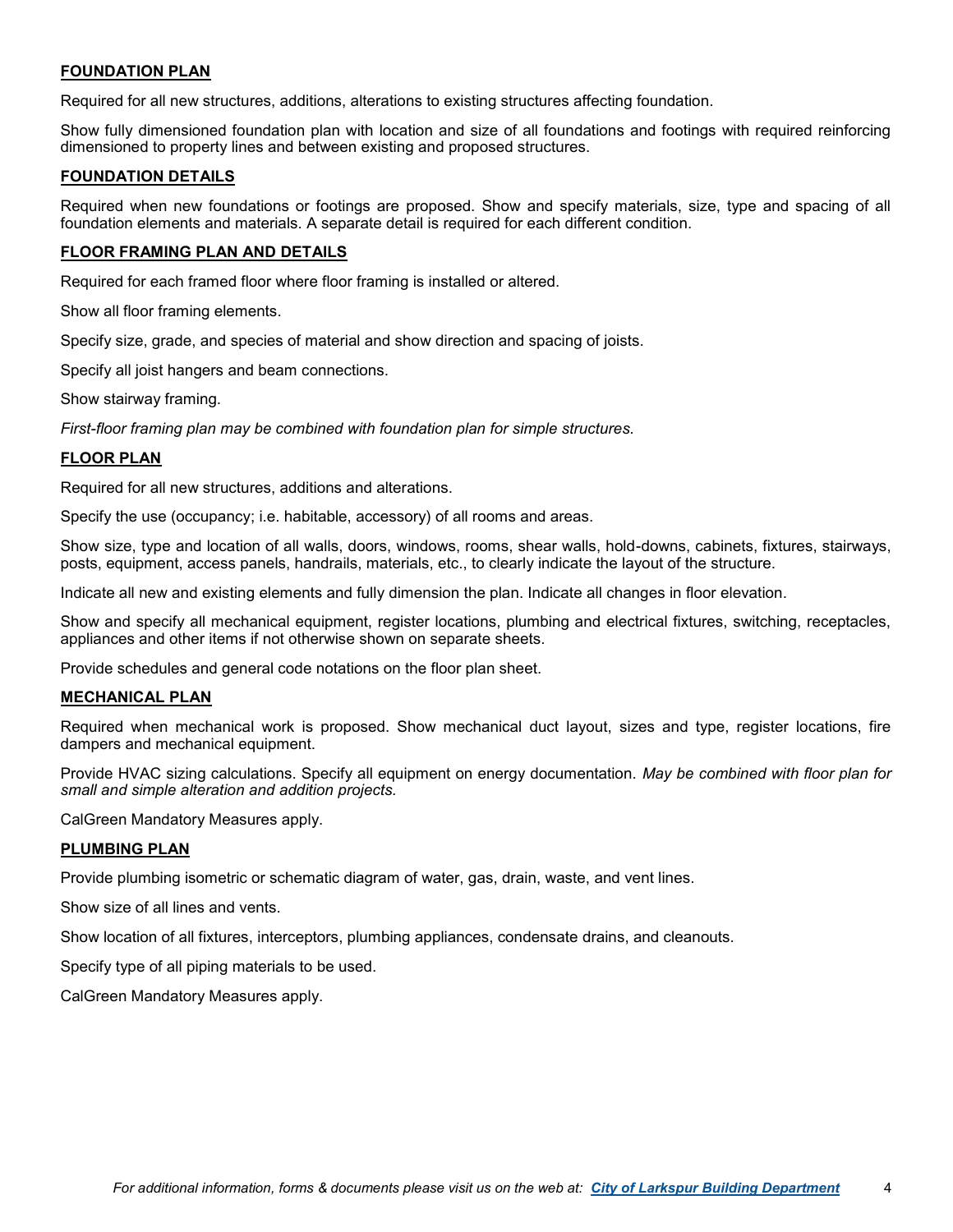# **FOUNDATION PLAN**

Required for all new structures, additions, alterations to existing structures affecting foundation.

Show fully dimensioned foundation plan with location and size of all foundations and footings with required reinforcing dimensioned to property lines and between existing and proposed structures.

### **FOUNDATION DETAILS**

Required when new foundations or footings are proposed. Show and specify materials, size, type and spacing of all foundation elements and materials. A separate detail is required for each different condition.

## **FLOOR FRAMING PLAN AND DETAILS**

Required for each framed floor where floor framing is installed or altered.

Show all floor framing elements.

Specify size, grade, and species of material and show direction and spacing of joists.

Specify all joist hangers and beam connections.

Show stairway framing.

*First-floor framing plan may be combined with foundation plan for simple structures.*

### **FLOOR PLAN**

Required for all new structures, additions and alterations.

Specify the use (occupancy; i.e. habitable, accessory) of all rooms and areas.

Show size, type and location of all walls, doors, windows, rooms, shear walls, hold-downs, cabinets, fixtures, stairways, posts, equipment, access panels, handrails, materials, etc., to clearly indicate the layout of the structure.

Indicate all new and existing elements and fully dimension the plan. Indicate all changes in floor elevation.

Show and specify all mechanical equipment, register locations, plumbing and electrical fixtures, switching, receptacles, appliances and other items if not otherwise shown on separate sheets.

Provide schedules and general code notations on the floor plan sheet.

#### **MECHANICAL PLAN**

Required when mechanical work is proposed. Show mechanical duct layout, sizes and type, register locations, fire dampers and mechanical equipment.

Provide HVAC sizing calculations. Specify all equipment on energy documentation. *May be combined with floor plan for small and simple alteration and addition projects.* 

CalGreen Mandatory Measures apply.

#### **PLUMBING PLAN**

Provide plumbing isometric or schematic diagram of water, gas, drain, waste, and vent lines.

Show size of all lines and vents.

Show location of all fixtures, interceptors, plumbing appliances, condensate drains, and cleanouts.

Specify type of all piping materials to be used.

CalGreen Mandatory Measures apply.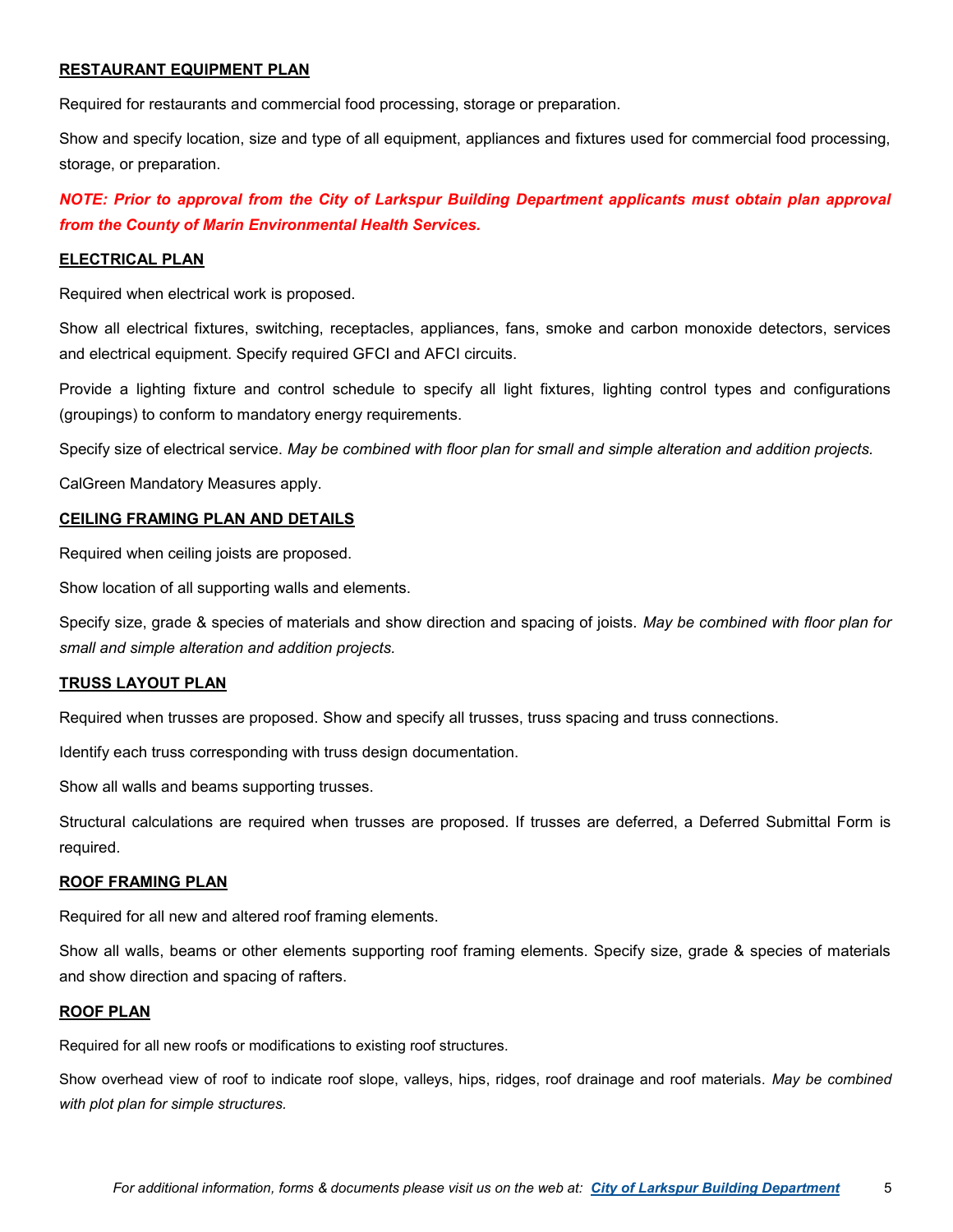## **RESTAURANT EQUIPMENT PLAN**

Required for restaurants and commercial food processing, storage or preparation.

Show and specify location, size and type of all equipment, appliances and fixtures used for commercial food processing, storage, or preparation.

*NOTE: Prior to approval from the City of Larkspur Building Department applicants must obtain plan approval from the County of Marin Environmental Health Services.*

#### **ELECTRICAL PLAN**

Required when electrical work is proposed.

Show all electrical fixtures, switching, receptacles, appliances, fans, smoke and carbon monoxide detectors, services and electrical equipment. Specify required GFCI and AFCI circuits.

Provide a lighting fixture and control schedule to specify all light fixtures, lighting control types and configurations (groupings) to conform to mandatory energy requirements.

Specify size of electrical service. *May be combined with floor plan for small and simple alteration and addition projects.*

CalGreen Mandatory Measures apply.

#### **CEILING FRAMING PLAN AND DETAILS**

Required when ceiling joists are proposed.

Show location of all supporting walls and elements.

Specify size, grade & species of materials and show direction and spacing of joists. *May be combined with floor plan for small and simple alteration and addition projects.*

#### **TRUSS LAYOUT PLAN**

Required when trusses are proposed. Show and specify all trusses, truss spacing and truss connections.

Identify each truss corresponding with truss design documentation.

Show all walls and beams supporting trusses.

Structural calculations are required when trusses are proposed. If trusses are deferred, a Deferred Submittal Form is required.

#### **ROOF FRAMING PLAN**

Required for all new and altered roof framing elements.

Show all walls, beams or other elements supporting roof framing elements. Specify size, grade & species of materials and show direction and spacing of rafters.

#### **ROOF PLAN**

Required for all new roofs or modifications to existing roof structures.

Show overhead view of roof to indicate roof slope, valleys, hips, ridges, roof drainage and roof materials. *May be combined with plot plan for simple structures.*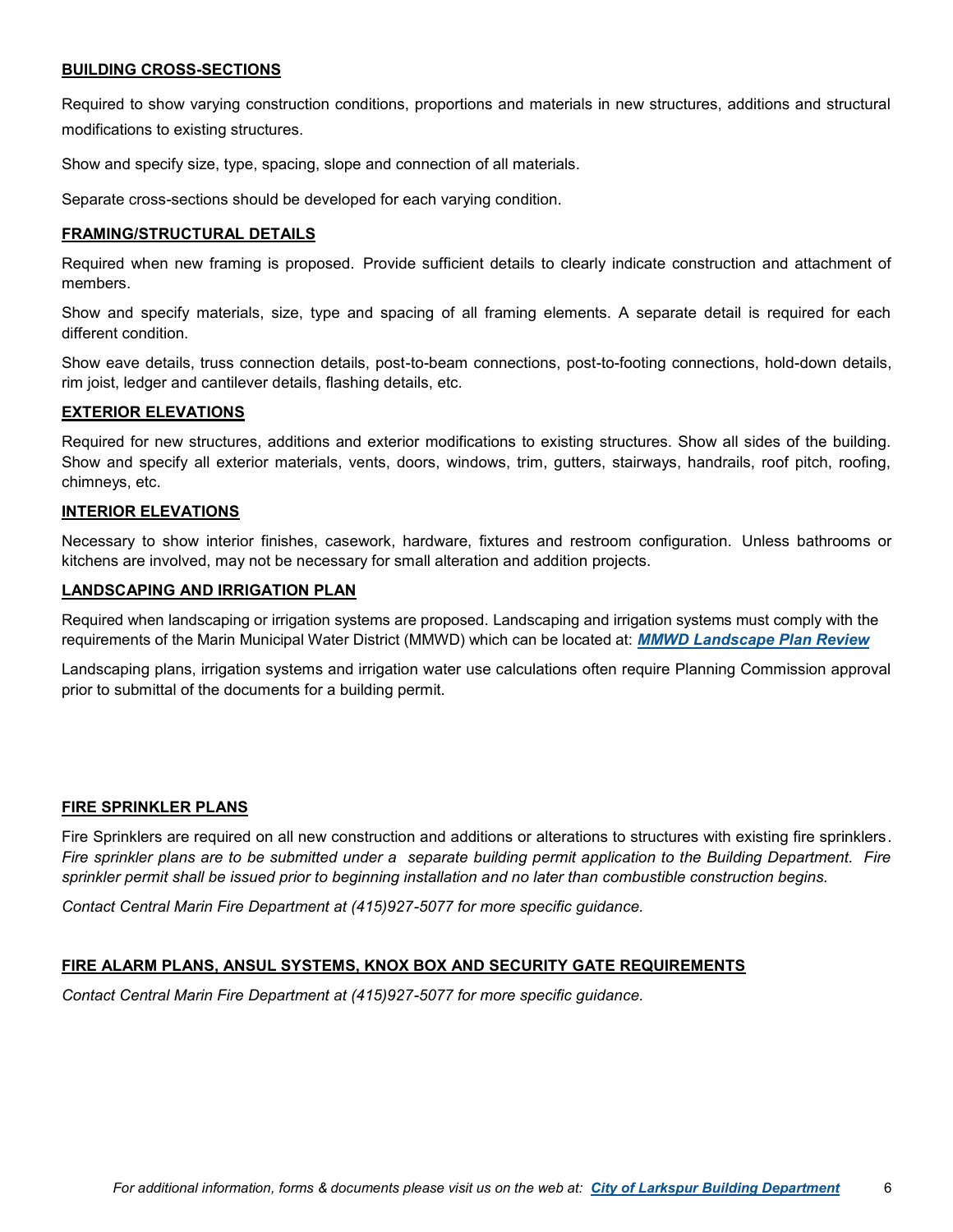# **BUILDING CROSS-SECTIONS**

Required to show varying construction conditions, proportions and materials in new structures, additions and structural modifications to existing structures.

Show and specify size, type, spacing, slope and connection of all materials.

Separate cross-sections should be developed for each varying condition.

#### **FRAMING/STRUCTURAL DETAILS**

Required when new framing is proposed. Provide sufficient details to clearly indicate construction and attachment of members.

Show and specify materials, size, type and spacing of all framing elements. A separate detail is required for each different condition.

Show eave details, truss connection details, post-to-beam connections, post-to-footing connections, hold-down details, rim joist, ledger and cantilever details, flashing details, etc.

#### **EXTERIOR ELEVATIONS**

Required for new structures, additions and exterior modifications to existing structures. Show all sides of the building. Show and specify all exterior materials, vents, doors, windows, trim, gutters, stairways, handrails, roof pitch, roofing, chimneys, etc.

#### **INTERIOR ELEVATIONS**

Necessary to show interior finishes, casework, hardware, fixtures and restroom configuration. Unless bathrooms or kitchens are involved, may not be necessary for small alteration and addition projects.

#### **LANDSCAPING AND IRRIGATION PLAN**

Required when landscaping or irrigation systems are proposed. Landscaping and irrigation systems must comply with the requirements of the Marin Municipal Water District (MMWD) which can be located at: *[MMWD Landscape Plan Review](http://www.marinwater.org/170/Landscape-Plan-Review-Requirements)*

Landscaping plans, irrigation systems and irrigation water use calculations often require Planning Commission approval prior to submittal of the documents for a building permit.

#### **FIRE SPRINKLER PLANS**

Fire Sprinklers are required on all new construction and additions or alterations to structures with existing fire sprinklers. *Fire sprinkler plans are to be submitted under a separate building permit application to the Building Department. Fire sprinkler permit shall be issued prior to beginning installation and no later than combustible construction begins.* 

*Contact Central Marin Fire Department at (415)927-5077 for more specific guidance.*

#### **FIRE ALARM PLANS, ANSUL SYSTEMS, KNOX BOX AND SECURITY GATE REQUIREMENTS**

*Contact Central Marin Fire Department at (415)927-5077 for more specific guidance.*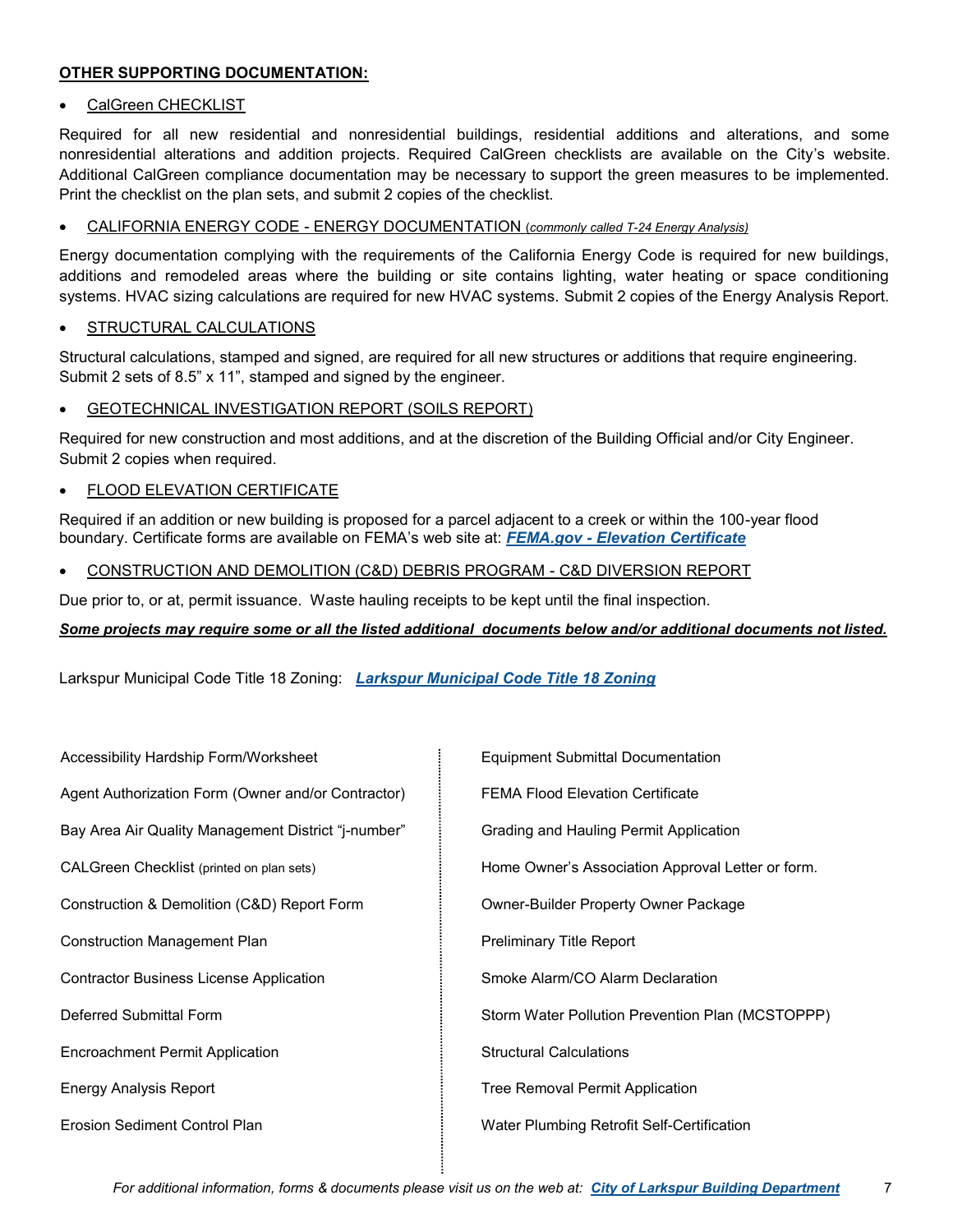# **OTHER SUPPORTING DOCUMENTATION:**

# CalGreen CHECKLIST

Required for all new residential and nonresidential buildings, residential additions and alterations, and some nonresidential alterations and addition projects. Required CalGreen checklists are available on the City's website. Additional CalGreen compliance documentation may be necessary to support the green measures to be implemented. Print the checklist on the plan sets, and submit 2 copies of the checklist.

### • CALIFORNIA ENERGY CODE - ENERGY DOCUMENTATION (*commonly called T-24 Energy Analysis)*

Energy documentation complying with the requirements of the California Energy Code is required for new buildings, additions and remodeled areas where the building or site contains lighting, water heating or space conditioning systems. HVAC sizing calculations are required for new HVAC systems. Submit 2 copies of the Energy Analysis Report.

### STRUCTURAL CALCULATIONS

Structural calculations, stamped and signed, are required for all new structures or additions that require engineering. Submit 2 sets of 8.5" x 11", stamped and signed by the engineer.

### **GEOTECHNICAL INVESTIGATION REPORT (SOILS REPORT)**

Required for new construction and most additions, and at the discretion of the Building Official and/or City Engineer. Submit 2 copies when required.

### FLOOD ELEVATION CERTIFICATE

Required if an addition or new building is proposed for a parcel adjacent to a creek or within the 100-year flood boundary. Certificate forms are available on FEMA's web site at: *FEMA.gov - [Elevation Certificate](https://www.fema.gov/media-library/assets/documents/160?id=1383)*

• CONSTRUCTION AND DEMOLITION (C&D) DEBRIS PROGRAM - C&D DIVERSION REPORT

Due prior to, or at, permit issuance. Waste hauling receipts to be kept until the final inspection.

# *Some projects may require some or all the listed additional documents below and/or additional documents not listed.*

Larkspur Municipal Code Title 18 Zoning: *[Larkspur Municipal Code Title 18 Zoning](http://www.codepublishing.com/CA/Larkspur/html/Larkspur18/Larkspur18.html)*

| Accessibility Hardship Form/Worksheet               | <b>Equipment Submittal Documentation</b>          |
|-----------------------------------------------------|---------------------------------------------------|
| Agent Authorization Form (Owner and/or Contractor)  | <b>FEMA Flood Elevation Certificate</b>           |
| Bay Area Air Quality Management District "j-number" | Grading and Hauling Permit Application            |
| CALGreen Checklist (printed on plan sets)           | Home Owner's Association Approval Letter or form. |
| Construction & Demolition (C&D) Report Form         | Owner-Builder Property Owner Package              |
| <b>Construction Management Plan</b>                 | <b>Preliminary Title Report</b>                   |
| <b>Contractor Business License Application</b>      | Smoke Alarm/CO Alarm Declaration                  |
| Deferred Submittal Form                             | Storm Water Pollution Prevention Plan (MCSTOPPP)  |
| <b>Encroachment Permit Application</b>              | <b>Structural Calculations</b>                    |
| <b>Energy Analysis Report</b>                       | Tree Removal Permit Application                   |
| <b>Erosion Sediment Control Plan</b>                | Water Plumbing Retrofit Self-Certification        |
|                                                     |                                                   |